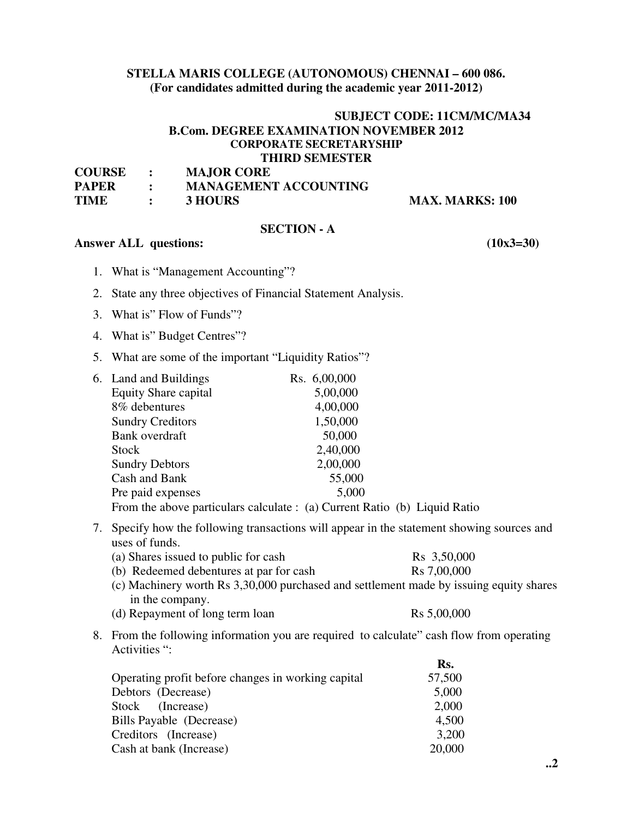### **STELLA MARIS COLLEGE (AUTONOMOUS) CHENNAI – 600 086. (For candidates admitted during the academic year 2011-2012)**

### **SUBJECT CODE: 11CM/MC/MA34 B.Com. DEGREE EXAMINATION NOVEMBER 2012 CORPORATE SECRETARYSHIP THIRD SEMESTER**

| <b>COURSE</b> | <b>MAJOR CORE</b>            |
|---------------|------------------------------|
| <b>PAPER</b>  | <b>MANAGEMENT ACCOUNTING</b> |
| <b>TIME</b>   | 3 HOURS                      |

**MAX. MARKS: 100** 

 $\mathbf{R}$ 

# **SECTION - A**

#### **Answer ALL questions: (10x3=30)**

- 1. What is "Management Accounting"?
- 2. State any three objectives of Financial Statement Analysis.
- 3. What is" Flow of Funds"?
- 4. What is" Budget Centres"?
- 5. What are some of the important "Liquidity Ratios"?

| 6. Land and Buildings       | Rs. 6,00,000 |
|-----------------------------|--------------|
| <b>Equity Share capital</b> | 5,00,000     |
| 8% debentures               | 4,00,000     |
| <b>Sundry Creditors</b>     | 1,50,000     |
| <b>Bank</b> overdraft       | 50,000       |
| <b>Stock</b>                | 2,40,000     |
| <b>Sundry Debtors</b>       | 2,00,000     |
| Cash and Bank               | 55,000       |
| Pre paid expenses           | 5,000        |
|                             |              |

From the above particulars calculate : (a) Current Ratio (b) Liquid Ratio

7. Specify how the following transactions will appear in the statement showing sources and uses of funds.

| (a) Shares issued to public for cash    | R <sub>s</sub> 3,50,000 |
|-----------------------------------------|-------------------------|
| (b) Redeemed debentures at par for cash | R <sub>s</sub> 7,00,000 |

- (c) Machinery worth Rs 3,30,000 purchased and settlement made by issuing equity shares in the company.
- (d) Repayment of long term loan  $\text{Rs } 5,00,000$
- 8. From the following information you are required to calculate" cash flow from operating Activities ":

|                                                    | RS.    |
|----------------------------------------------------|--------|
| Operating profit before changes in working capital | 57,500 |
| Debtors (Decrease)                                 | 5,000  |
| Stock (Increase)                                   | 2,000  |
| Bills Payable (Decrease)                           | 4,500  |
| Creditors (Increase)                               | 3,200  |
| Cash at bank (Increase)                            | 20,000 |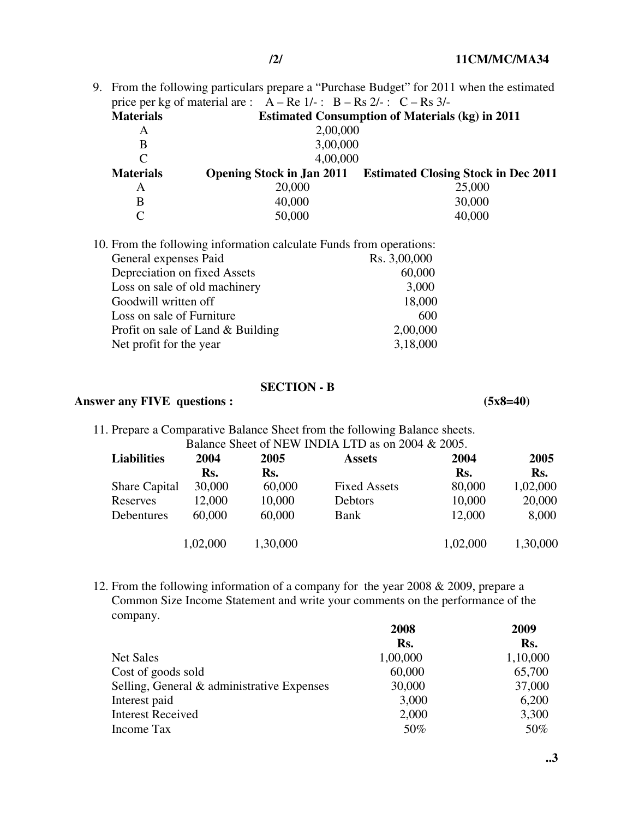9. From the following particulars prepare a "Purchase Budget" for 2011 when the estimated price per kg of material are :  $A - Re 1/-$ :  $B - Rs 2/-$ :  $C - Rs 3/-$ **Materials Estimated Consumption of Materials (kg) in 2011**  A 2,00,000<br>B 3.00.000 B 3,00,000 C 4,00,000

**Materials Opening Stock in Jan 2011 Estimated Closing Stock in Dec 2011**  A 20,000 25,000 B  $40,000$  30,000  $C = 50,000$  40,000

| 10. From the following information calculate Funds from operations: |              |  |
|---------------------------------------------------------------------|--------------|--|
| General expenses Paid                                               | Rs. 3,00,000 |  |
| Depreciation on fixed Assets                                        | 60,000       |  |
| Loss on sale of old machinery                                       | 3,000        |  |
| Goodwill written off                                                | 18,000       |  |
| Loss on sale of Furniture                                           | 600          |  |
| Profit on sale of Land & Building                                   | 2,00,000     |  |
| Net profit for the year                                             | 3,18,000     |  |

# **SECTION - B**

#### Answer any FIVE questions : (5x8=40)

11. Prepare a Comparative Balance Sheet from the following Balance sheets. Balance Sheet of NEW INDIA LTD as on 2004 & 2005.

| <b>Liabilities</b>   | 2004     | 2005     | <b>Assets</b>       | 2004     | 2005     |
|----------------------|----------|----------|---------------------|----------|----------|
|                      | Rs.      | Rs.      |                     | Rs.      | Rs.      |
| <b>Share Capital</b> | 30,000   | 60,000   | <b>Fixed Assets</b> | 80,000   | 1,02,000 |
| Reserves             | 12,000   | 10,000   | Debtors             | 10,000   | 20,000   |
| Debentures           | 60,000   | 60,000   | Bank                | 12,000   | 8,000    |
|                      | 1,02,000 | 1,30,000 |                     | 1,02,000 | 1,30,000 |

12. From the following information of a company for the year 2008 & 2009, prepare a Common Size Income Statement and write your comments on the performance of the company.

|                                            | 2008     | 2009     |
|--------------------------------------------|----------|----------|
|                                            | Rs.      | Rs.      |
| Net Sales                                  | 1,00,000 | 1,10,000 |
| Cost of goods sold                         | 60,000   | 65,700   |
| Selling, General & administrative Expenses | 30,000   | 37,000   |
| Interest paid                              | 3,000    | 6,200    |
| <b>Interest Received</b>                   | 2,000    | 3,300    |
| Income Tax                                 | 50%      | 50%      |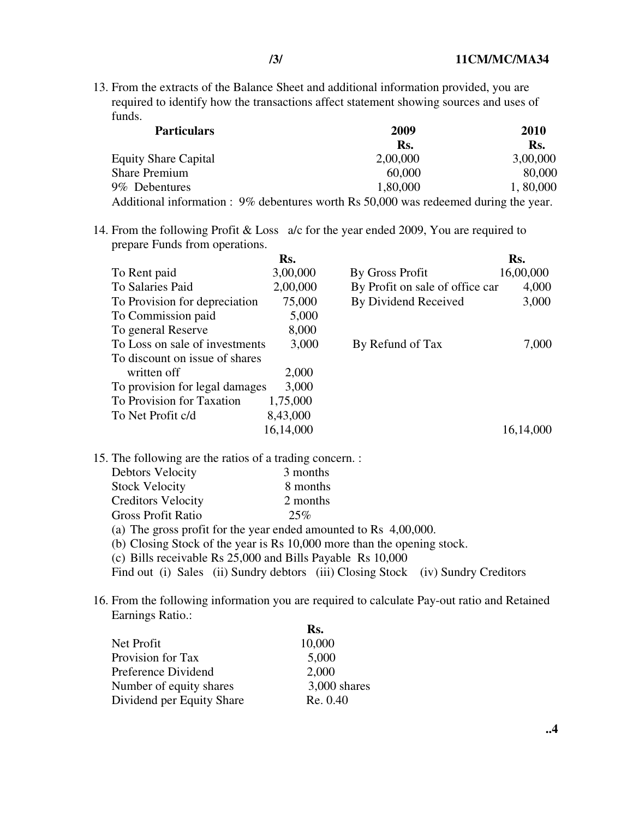13. From the extracts of the Balance Sheet and additional information provided, you are required to identify how the transactions affect statement showing sources and uses of funds.

| <b>Particulars</b>                                                                   | 2009     | 2010     |  |
|--------------------------------------------------------------------------------------|----------|----------|--|
|                                                                                      | Rs.      | Rs.      |  |
| <b>Equity Share Capital</b>                                                          | 2,00,000 | 3,00,000 |  |
| <b>Share Premium</b>                                                                 | 60,000   | 80,000   |  |
| 9% Debentures                                                                        | 1,80,000 | 1,80,000 |  |
| Additional information : 9% debentures worth Rs 50,000 was redeemed during the year. |          |          |  |

14. From the following Profit & Loss a/c for the year ended 2009, You are required to prepare Funds from operations.

|                                | Rs.       |                                 | Rs.       |
|--------------------------------|-----------|---------------------------------|-----------|
| To Rent paid                   | 3,00,000  | By Gross Profit                 | 16,00,000 |
| To Salaries Paid               | 2,00,000  | By Profit on sale of office car | 4,000     |
| To Provision for depreciation  | 75,000    | By Dividend Received            | 3,000     |
| To Commission paid             | 5,000     |                                 |           |
| To general Reserve             | 8,000     |                                 |           |
| To Loss on sale of investments | 3,000     | By Refund of Tax                | 7,000     |
| To discount on issue of shares |           |                                 |           |
| written off                    | 2,000     |                                 |           |
| To provision for legal damages | 3,000     |                                 |           |
| To Provision for Taxation      | 1,75,000  |                                 |           |
| To Net Profit c/d              | 8,43,000  |                                 |           |
|                                | 16,14,000 |                                 | 16,14,000 |

15. The following are the ratios of a trading concern. :

| <b>Debtors Velocity</b>   | 3 months                                                            |
|---------------------------|---------------------------------------------------------------------|
| <b>Stock Velocity</b>     | 8 months                                                            |
| <b>Creditors Velocity</b> | 2 months                                                            |
| <b>Gross Profit Ratio</b> | 25%                                                                 |
|                           | (a) The gross profit for the year ended amounted to Rs $4,00,000$ . |

- (b) Closing Stock of the year is Rs 10,000 more than the opening stock.
- (c) Bills receivable Rs 25,000 and Bills Payable Rs 10,000

Find out (i) Sales (ii) Sundry debtors (iii) Closing Stock (iv) Sundry Creditors

16. From the following information you are required to calculate Pay-out ratio and Retained Earnings Ratio.:

|                           | Rs.            |
|---------------------------|----------------|
| Net Profit                | 10,000         |
| Provision for Tax         | 5,000          |
| Preference Dividend       | 2,000          |
| Number of equity shares   | $3,000$ shares |
| Dividend per Equity Share | Re. 0.40       |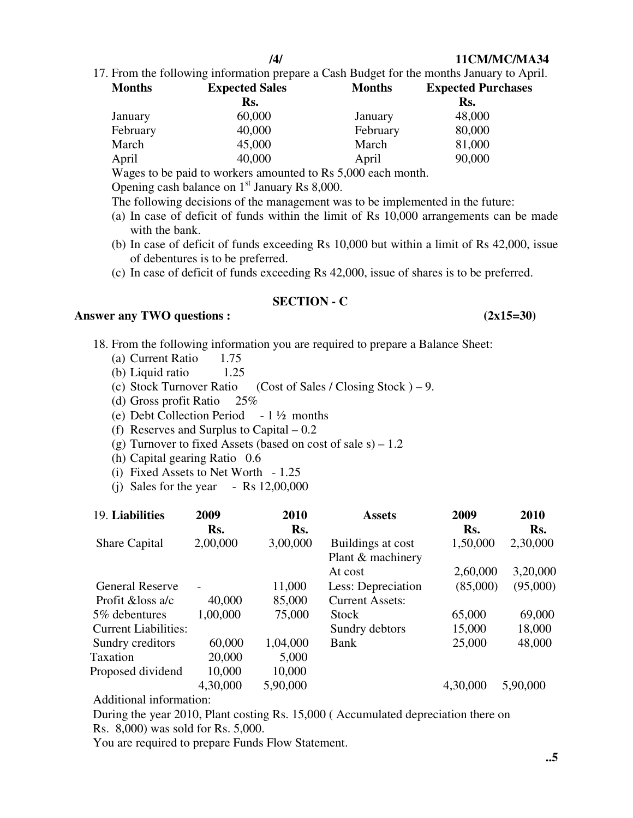**/4/ 11CM/MC/MA34**

17. From the following information prepare a Cash Budget for the months January to April.

| <b>Months</b> | <b>Expected Sales</b> | <b>Months</b> | <b>Expected Purchases</b> |
|---------------|-----------------------|---------------|---------------------------|
|               | Rs.                   |               | Rs.                       |
| January       | 60,000                | January       | 48,000                    |
| February      | 40,000                | February      | 80,000                    |
| March         | 45,000                | March         | 81,000                    |
| April         | 40,000                | April         | 90,000                    |

Wages to be paid to workers amounted to Rs 5,000 each month.

Opening cash balance on  $1<sup>st</sup>$  January Rs 8,000.

- The following decisions of the management was to be implemented in the future:
- (a) In case of deficit of funds within the limit of Rs 10,000 arrangements can be made with the bank.
- (b) In case of deficit of funds exceeding Rs 10,000 but within a limit of Rs 42,000, issue of debentures is to be preferred.
- (c) In case of deficit of funds exceeding Rs 42,000, issue of shares is to be preferred.

# **SECTION - C**

#### Answer any TWO questions : (2x15=30)

- 18. From the following information you are required to prepare a Balance Sheet:
	- (a) Current Ratio 1.75
	- (b) Liquid ratio 1.25
	- (c) Stock Turnover Ratio (Cost of Sales / Closing Stock  $) 9$ .
	- (d) Gross profit Ratio 25%
	- (e) Debt Collection Period  $-1\frac{1}{2}$  months
	- (f) Reserves and Surplus to Capital 0.2
	- (g) Turnover to fixed Assets (based on cost of sale  $s$ ) 1.2
	- (h) Capital gearing Ratio 0.6
	- (i) Fixed Assets to Net Worth 1.25
	- (i) Sales for the year  $-$  Rs 12,00,000

| 19. Liabilities             | 2009<br>Rs. | 2010<br>Rs. | <b>Assets</b>                          | 2009<br>Rs. | 2010<br>Rs. |
|-----------------------------|-------------|-------------|----------------------------------------|-------------|-------------|
| <b>Share Capital</b>        | 2,00,000    | 3,00,000    | Buildings at cost<br>Plant & machinery | 1,50,000    | 2,30,000    |
|                             |             |             | At cost                                | 2,60,000    | 3,20,000    |
| <b>General Reserve</b>      |             | 11,000      | Less: Depreciation                     | (85,000)    | (95,000)    |
| Profit & loss a/c           | 40,000      | 85,000      | <b>Current Assets:</b>                 |             |             |
| 5% debentures               | 1,00,000    | 75,000      | <b>Stock</b>                           | 65,000      | 69,000      |
| <b>Current Liabilities:</b> |             |             | Sundry debtors                         | 15,000      | 18,000      |
| Sundry creditors            | 60,000      | 1,04,000    | Bank                                   | 25,000      | 48,000      |
| Taxation                    | 20,000      | 5,000       |                                        |             |             |
| Proposed dividend           | 10,000      | 10,000      |                                        |             |             |
|                             | 4,30,000    | 5,90,000    |                                        | 4,30,000    | 5,90,000    |
|                             |             |             |                                        |             |             |

Additional information:

 During the year 2010, Plant costing Rs. 15,000 ( Accumulated depreciation there on Rs. 8,000) was sold for Rs. 5,000.

You are required to prepare Funds Flow Statement.